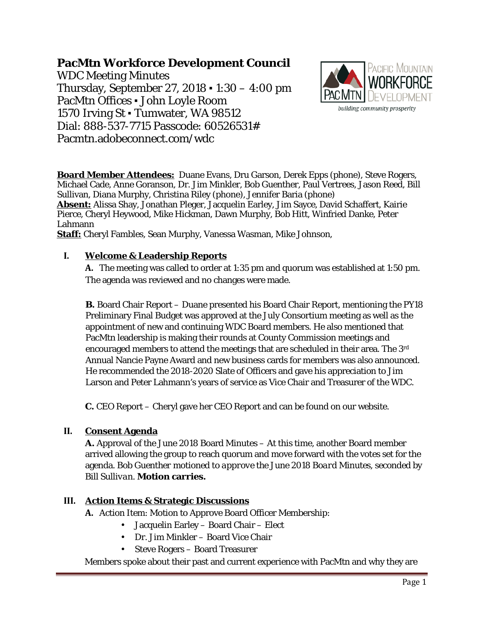# **PacMtn Workforce Development Council**

WDC Meeting Minutes Thursday, September 27, 2018 ▪ 1:30 – 4:00 pm PacMtn Offices ▪ John Loyle Room 1570 Irving St · Tumwater, WA 98512 Dial: 888-537-7715 Passcode: 60526531# Pacmtn.adobeconnect.com/wdc



**Board Member Attendees:** Duane Evans, Dru Garson, Derek Epps (phone), Steve Rogers, Michael Cade, Anne Goranson, Dr. Jim Minkler, Bob Guenther, Paul Vertrees, Jason Reed, Bill Sullivan, Diana Murphy, Christina Riley (phone), Jennifer Baria (phone) **Absent:** Alissa Shay, Jonathan Pleger, Jacquelin Earley, Jim Sayce, David Schaffert, Kairie Pierce, Cheryl Heywood, Mike Hickman, Dawn Murphy, Bob Hitt, Winfried Danke, Peter Lahmann **Staff:** Cheryl Fambles, Sean Murphy, Vanessa Wasman, Mike Johnson,

#### **I. Welcome & Leadership Reports**

**A.** The meeting was called to order at 1:35 pm and quorum was established at 1:50 pm. The agenda was reviewed and no changes were made.

**B.** Board Chair Report – Duane presented his Board Chair Report, mentioning the PY18 Preliminary Final Budget was approved at the July Consortium meeting as well as the appointment of new and continuing WDC Board members. He also mentioned that PacMtn leadership is making their rounds at County Commission meetings and encouraged members to attend the meetings that are scheduled in their area. The 3rd Annual Nancie Payne Award and new business cards for members was also announced. He recommended the 2018-2020 Slate of Officers and gave his appreciation to Jim Larson and Peter Lahmann's years of service as Vice Chair and Treasurer of the WDC.

**C.** CEO Report – Cheryl gave her CEO Report and can be found on our website.

#### **II. Consent Agenda**

**A.** Approval of the June 2018 Board Minutes – At this time, another Board member arrived allowing the group to reach quorum and move forward with the votes set for the agenda. *Bob Guenther motioned to approve the June 2018 Board Minutes, seconded by Bill Sullivan.* **Motion carries.**

#### **III. Action Items & Strategic Discussions**

**A.** Action Item: Motion to Approve Board Officer Membership:

- Jacquelin Earley Board Chair Elect
- Dr. Jim Minkler Board Vice Chair
- Steve Rogers Board Treasurer

Members spoke about their past and current experience with PacMtn and why they are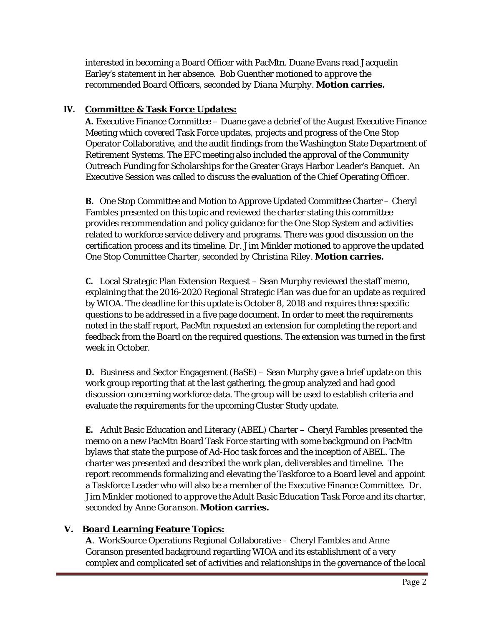interested in becoming a Board Officer with PacMtn. Duane Evans read Jacquelin Earley's statement in her absence. *Bob Guenther motioned to approve the recommended Board Officers, seconded by Diana Murphy.* **Motion carries.**

### **IV. Committee & Task Force Updates:**

**A.** Executive Finance Committee – Duane gave a debrief of the August Executive Finance Meeting which covered Task Force updates, projects and progress of the One Stop Operator Collaborative, and the audit findings from the Washington State Department of Retirement Systems. The EFC meeting also included the approval of the Community Outreach Funding for Scholarships for the Greater Grays Harbor Leader's Banquet. An Executive Session was called to discuss the evaluation of the Chief Operating Officer.

**B.** One Stop Committee and Motion to Approve Updated Committee Charter – Cheryl Fambles presented on this topic and reviewed the charter stating this committee provides recommendation and policy guidance for the One Stop System and activities related to workforce service delivery and programs. There was good discussion on the certification process and its timeline. *Dr. Jim Minkler motioned to approve the updated One Stop Committee Charter, seconded by Christina Riley.* **Motion carries.**

**C.** Local Strategic Plan Extension Request – Sean Murphy reviewed the staff memo, explaining that the 2016-2020 Regional Strategic Plan was due for an update as required by WIOA. The deadline for this update is October 8, 2018 and requires three specific questions to be addressed in a five page document. In order to meet the requirements noted in the staff report, PacMtn requested an extension for completing the report and feedback from the Board on the required questions. The extension was turned in the first week in October.

**D.** Business and Sector Engagement (BaSE) – Sean Murphy gave a brief update on this work group reporting that at the last gathering, the group analyzed and had good discussion concerning workforce data. The group will be used to establish criteria and evaluate the requirements for the upcoming Cluster Study update.

**E.** Adult Basic Education and Literacy (ABEL) Charter – Cheryl Fambles presented the memo on a new PacMtn Board Task Force starting with some background on PacMtn bylaws that state the purpose of Ad-Hoc task forces and the inception of ABEL. The charter was presented and described the work plan, deliverables and timeline. The report recommends formalizing and elevating the Taskforce to a Board level and appoint a Taskforce Leader who will also be a member of the Executive Finance Committee. *Dr. Jim Minkler motioned to approve the Adult Basic Education Task Force and its charter, seconded by Anne Goranson.* **Motion carries.**

## **V. Board Learning Feature Topics:**

**A**. WorkSource Operations Regional Collaborative – Cheryl Fambles and Anne Goranson presented background regarding WIOA and its establishment of a very complex and complicated set of activities and relationships in the governance of the local